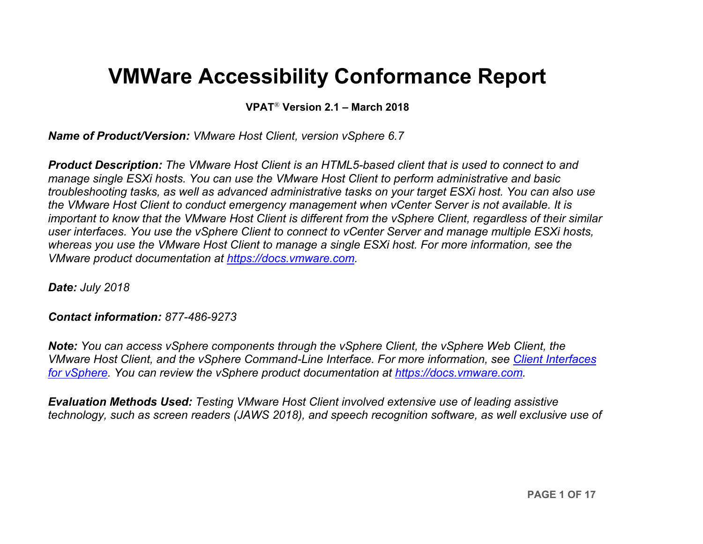# **VMWare Accessibility Conformance Report**

**VPAT**® **Version 2.1 – March 2018**

*Name of Product/Version: VMware Host Client, version vSphere 6.7*

*Product Description: The VMware Host Client is an HTML5-based client that is used to connect to and manage single ESXi hosts. You can use the VMware Host Client to perform administrative and basic troubleshooting tasks, as well as advanced administrative tasks on your target ESXi host. You can also use the VMware Host Client to conduct emergency management when vCenter Server is not available. It is important to know that the VMware Host Client is different from the vSphere Client, regardless of their similar user interfaces. You use the vSphere Client to connect to vCenter Server and manage multiple ESXi hosts, whereas you use the VMware Host Client to manage a single ESXi host. For more information, see the VMware product documentation at [https://docs.vmware.com.](https://docs.vmware.com/)*

*Date: July 2018*

#### *Contact information: 877-486-9273*

*Note: You can access vSphere components through the vSphere Client, the vSphere Web Client, the VMware Host Client, and the vSphere Command-Line Interface. For more information, see [Client Interfaces](https://docs.vmware.com/en/VMware-vSphere/6.7/com.vmware.vsphere.vcenterhost.doc/GUID-6710A6C4-00AE-4930-BBD6-BDEF78029994.html)  [for vSphere.](https://docs.vmware.com/en/VMware-vSphere/6.7/com.vmware.vsphere.vcenterhost.doc/GUID-6710A6C4-00AE-4930-BBD6-BDEF78029994.html) You can review the vSphere product documentation at [https://docs.vmware.com.](https://docs.vmware.com/)*

*Evaluation Methods Used: Testing VMware Host Client involved extensive use of leading assistive technology, such as screen readers (JAWS 2018), and speech recognition software, as well exclusive use of*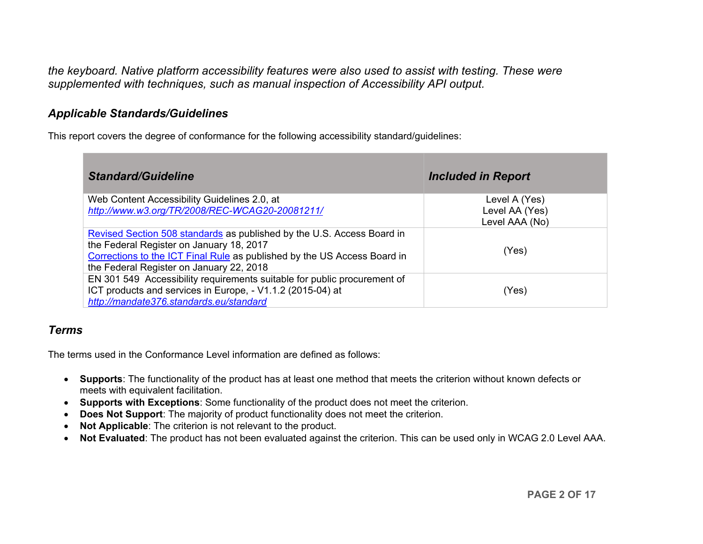*the keyboard. Native platform accessibility features were also used to assist with testing. These were supplemented with techniques, such as manual inspection of Accessibility API output.*

### *Applicable Standards/Guidelines*

This report covers the degree of conformance for the following accessibility standard/guidelines:

| <b>Standard/Guideline</b>                                                                                                                                                                                                                  | <b>Included in Report</b>        |
|--------------------------------------------------------------------------------------------------------------------------------------------------------------------------------------------------------------------------------------------|----------------------------------|
| Web Content Accessibility Guidelines 2.0, at                                                                                                                                                                                               | Level A (Yes)                    |
| http://www.w3.org/TR/2008/REC-WCAG20-20081211/                                                                                                                                                                                             | Level AA (Yes)<br>Level AAA (No) |
| Revised Section 508 standards as published by the U.S. Access Board in<br>the Federal Register on January 18, 2017<br>Corrections to the ICT Final Rule as published by the US Access Board in<br>the Federal Register on January 22, 2018 | (Yes)                            |
| EN 301 549 Accessibility requirements suitable for public procurement of<br>ICT products and services in Europe, - V1.1.2 (2015-04) at<br>http://mandate376.standards.eu/standard                                                          | (Yes)                            |

### *Terms*

The terms used in the Conformance Level information are defined as follows:

- **Supports**: The functionality of the product has at least one method that meets the criterion without known defects or meets with equivalent facilitation.
- **Supports with Exceptions**: Some functionality of the product does not meet the criterion.
- **Does Not Support:** The majority of product functionality does not meet the criterion.
- **Not Applicable**: The criterion is not relevant to the product.
- **Not Evaluated**: The product has not been evaluated against the criterion. This can be used only in WCAG 2.0 Level AAA.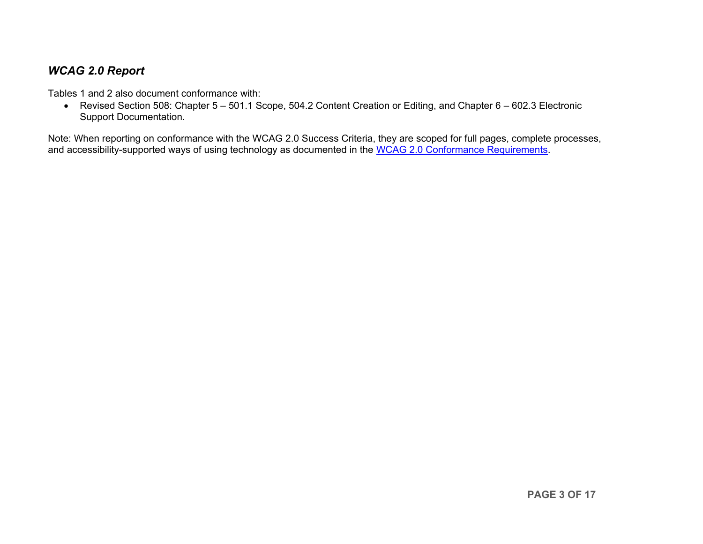### *WCAG 2.0 Report*

Tables 1 and 2 also document conformance with:

• Revised Section 508: Chapter 5 – 501.1 Scope, 504.2 Content Creation or Editing, and Chapter 6 – 602.3 Electronic Support Documentation.

Note: When reporting on conformance with the WCAG 2.0 Success Criteria, they are scoped for full pages, complete processes, and accessibility-supported ways of using technology as documented in the [WCAG 2.0 Conformance Requirements.](https://www.w3.org/TR/WCAG20/#conformance-reqs)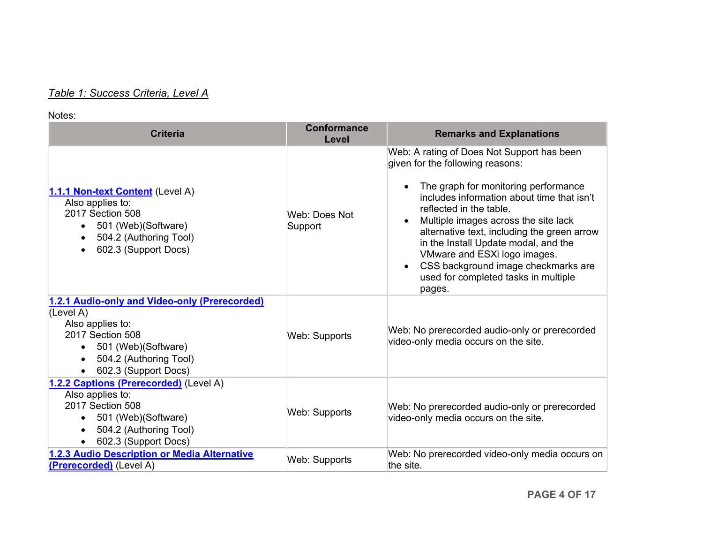# *Table 1: Success Criteria, Level A*

<span id="page-3-0"></span>

| <b>Criteria</b>                                                                                                                                                             | <b>Conformance</b><br>Level | <b>Remarks and Explanations</b>                                                                                                                                                                                                                                                                                                                                                                                                                         |
|-----------------------------------------------------------------------------------------------------------------------------------------------------------------------------|-----------------------------|---------------------------------------------------------------------------------------------------------------------------------------------------------------------------------------------------------------------------------------------------------------------------------------------------------------------------------------------------------------------------------------------------------------------------------------------------------|
| 1.1.1 Non-text Content (Level A)<br>Also applies to:<br>2017 Section 508<br>501 (Web) (Software)<br>504.2 (Authoring Tool)<br>602.3 (Support Docs)                          | Web: Does Not<br>Support    | Web: A rating of Does Not Support has been<br>given for the following reasons:<br>The graph for monitoring performance<br>includes information about time that isn't<br>reflected in the table.<br>Multiple images across the site lack<br>alternative text, including the green arrow<br>in the Install Update modal, and the<br>VMware and ESXi logo images.<br>CSS background image checkmarks are<br>used for completed tasks in multiple<br>pages. |
| 1.2.1 Audio-only and Video-only (Prerecorded)<br>(Level A)<br>Also applies to:<br>2017 Section 508<br>501 (Web)(Software)<br>504.2 (Authoring Tool)<br>602.3 (Support Docs) | <b>Web: Supports</b>        | Web: No prerecorded audio-only or prerecorded<br>video-only media occurs on the site.                                                                                                                                                                                                                                                                                                                                                                   |
| 1.2.2 Captions (Prerecorded) (Level A)<br>Also applies to:<br>2017 Section 508<br>501 (Web)(Software)<br>504.2 (Authoring Tool)<br>602.3 (Support Docs)                     | <b>Web: Supports</b>        | Web: No prerecorded audio-only or prerecorded<br>video-only media occurs on the site.                                                                                                                                                                                                                                                                                                                                                                   |
| 1.2.3 Audio Description or Media Alternative<br>(Prerecorded) (Level A)                                                                                                     | <b>Web: Supports</b>        | Web: No prerecorded video-only media occurs on<br>lthe site.                                                                                                                                                                                                                                                                                                                                                                                            |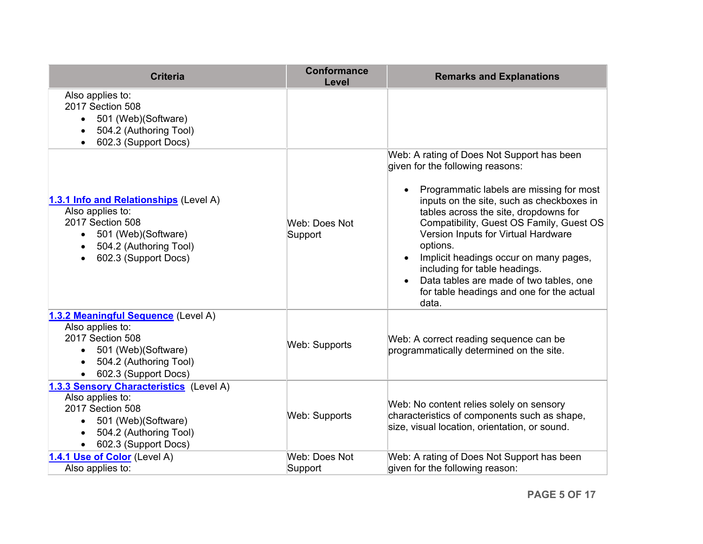<span id="page-4-1"></span><span id="page-4-0"></span>

| <b>Criteria</b>                                                                                                                                          | <b>Conformance</b><br>Level | <b>Remarks and Explanations</b>                                                                                                                                                                                                                                                                                                                                                                                                                                                             |
|----------------------------------------------------------------------------------------------------------------------------------------------------------|-----------------------------|---------------------------------------------------------------------------------------------------------------------------------------------------------------------------------------------------------------------------------------------------------------------------------------------------------------------------------------------------------------------------------------------------------------------------------------------------------------------------------------------|
| Also applies to:<br>2017 Section 508<br>501 (Web)(Software)<br>504.2 (Authoring Tool)<br>602.3 (Support Docs)                                            |                             |                                                                                                                                                                                                                                                                                                                                                                                                                                                                                             |
| 1.3.1 Info and Relationships (Level A)<br>Also applies to:<br>2017 Section 508<br>501 (Web)(Software)<br>504.2 (Authoring Tool)<br>602.3 (Support Docs)  | Web: Does Not<br>Support    | Web: A rating of Does Not Support has been<br>given for the following reasons:<br>Programmatic labels are missing for most<br>inputs on the site, such as checkboxes in<br>tables across the site, dropdowns for<br>Compatibility, Guest OS Family, Guest OS<br>Version Inputs for Virtual Hardware<br>options.<br>Implicit headings occur on many pages,<br>including for table headings.<br>Data tables are made of two tables, one<br>for table headings and one for the actual<br>data. |
| 1.3.2 Meaningful Sequence (Level A)<br>Also applies to:<br>2017 Section 508<br>501 (Web)(Software)<br>504.2 (Authoring Tool)<br>602.3 (Support Docs)     | Web: Supports               | Web: A correct reading sequence can be<br>programmatically determined on the site.                                                                                                                                                                                                                                                                                                                                                                                                          |
| 1.3.3 Sensory Characteristics (Level A)<br>Also applies to:<br>2017 Section 508<br>501 (Web)(Software)<br>504.2 (Authoring Tool)<br>602.3 (Support Docs) | Web: Supports               | Web: No content relies solely on sensory<br>characteristics of components such as shape,<br>size, visual location, orientation, or sound.                                                                                                                                                                                                                                                                                                                                                   |
| 1.4.1 Use of Color (Level A)<br>Also applies to:                                                                                                         | Web: Does Not<br>Support    | Web: A rating of Does Not Support has been<br>given for the following reason:                                                                                                                                                                                                                                                                                                                                                                                                               |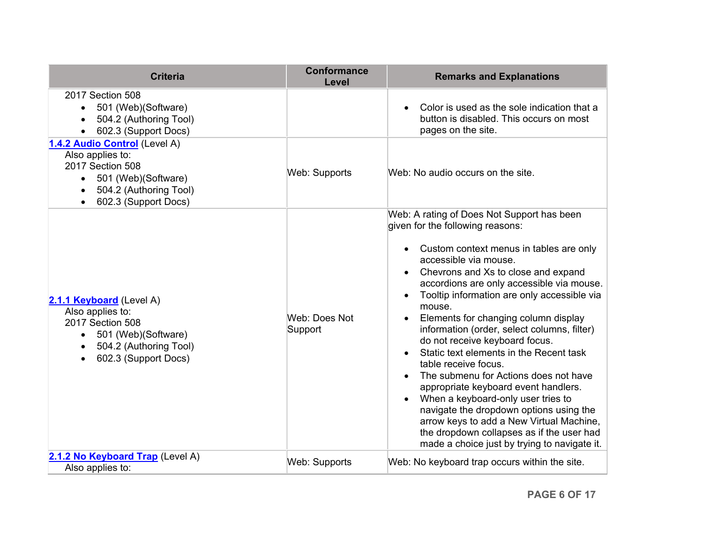<span id="page-5-0"></span>

| <b>Criteria</b>                                                                                                                                                     | <b>Conformance</b><br>Level | <b>Remarks and Explanations</b>                                                                                                                                                                                                                                                                                                                                                                                                                                                                                                                                                                                                                                                                                                                                                                        |
|---------------------------------------------------------------------------------------------------------------------------------------------------------------------|-----------------------------|--------------------------------------------------------------------------------------------------------------------------------------------------------------------------------------------------------------------------------------------------------------------------------------------------------------------------------------------------------------------------------------------------------------------------------------------------------------------------------------------------------------------------------------------------------------------------------------------------------------------------------------------------------------------------------------------------------------------------------------------------------------------------------------------------------|
| 2017 Section 508<br>501 (Web)(Software)<br>$\bullet$<br>504.2 (Authoring Tool)<br>602.3 (Support Docs)                                                              |                             | Color is used as the sole indication that a<br>button is disabled. This occurs on most<br>pages on the site.                                                                                                                                                                                                                                                                                                                                                                                                                                                                                                                                                                                                                                                                                           |
| 1.4.2 Audio Control (Level A)<br>Also applies to:<br>2017 Section 508<br>501 (Web)(Software)<br>504.2 (Authoring Tool)<br>602.3 (Support Docs)                      | Web: Supports               | Web: No audio occurs on the site.                                                                                                                                                                                                                                                                                                                                                                                                                                                                                                                                                                                                                                                                                                                                                                      |
| 2.1.1 Keyboard (Level A)<br>Also applies to:<br>2017 Section 508<br>501 (Web)(Software)<br>$\bullet$<br>504.2 (Authoring Tool)<br>$\bullet$<br>602.3 (Support Docs) | Web: Does Not<br>Support    | Web: A rating of Does Not Support has been<br>given for the following reasons:<br>Custom context menus in tables are only<br>accessible via mouse.<br>Chevrons and Xs to close and expand<br>accordions are only accessible via mouse.<br>Tooltip information are only accessible via<br>mouse.<br>Elements for changing column display<br>information (order, select columns, filter)<br>do not receive keyboard focus.<br>Static text elements in the Recent task<br>table receive focus.<br>The submenu for Actions does not have<br>appropriate keyboard event handlers.<br>When a keyboard-only user tries to<br>navigate the dropdown options using the<br>arrow keys to add a New Virtual Machine,<br>the dropdown collapses as if the user had<br>made a choice just by trying to navigate it. |
| 2.1.2 No Keyboard Trap (Level A)<br>Also applies to:                                                                                                                | Web: Supports               | Web: No keyboard trap occurs within the site.                                                                                                                                                                                                                                                                                                                                                                                                                                                                                                                                                                                                                                                                                                                                                          |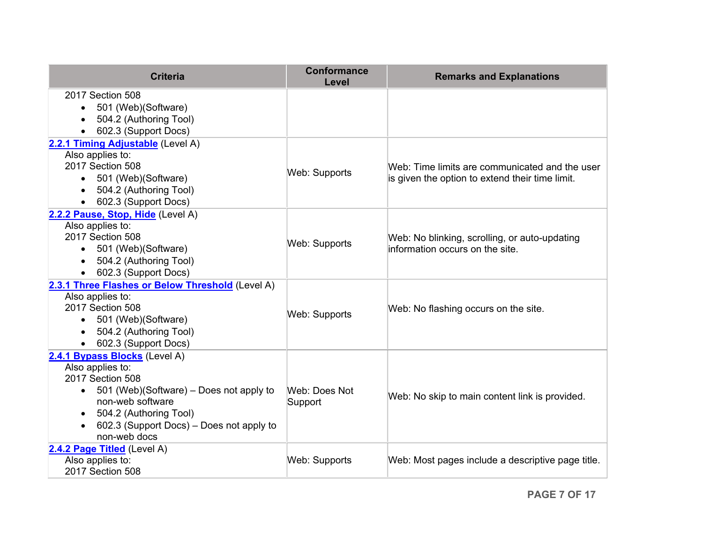| <b>Criteria</b>                                                          | <b>Conformance</b><br>Level | <b>Remarks and Explanations</b>                   |
|--------------------------------------------------------------------------|-----------------------------|---------------------------------------------------|
| 2017 Section 508<br>501 (Web) (Software)<br>504.2 (Authoring Tool)       |                             |                                                   |
| 602.3 (Support Docs)                                                     |                             |                                                   |
| 2.2.1 Timing Adjustable (Level A)<br>Also applies to:                    |                             |                                                   |
| 2017 Section 508                                                         |                             | Web: Time limits are communicated and the user    |
| 501 (Web)(Software)<br>$\bullet$                                         | Web: Supports               | is given the option to extend their time limit.   |
| 504.2 (Authoring Tool)                                                   |                             |                                                   |
| 602.3 (Support Docs)<br>2.2.2 Pause, Stop, Hide (Level A)                |                             |                                                   |
| Also applies to:                                                         |                             |                                                   |
| 2017 Section 508                                                         | Web: Supports               | Web: No blinking, scrolling, or auto-updating     |
| 501 (Web)(Software)<br>$\bullet$                                         |                             | information occurs on the site.                   |
| 504.2 (Authoring Tool)                                                   |                             |                                                   |
| 602.3 (Support Docs)<br>2.3.1 Three Flashes or Below Threshold (Level A) |                             |                                                   |
| Also applies to:                                                         |                             |                                                   |
| 2017 Section 508                                                         | Web: Supports               | Web: No flashing occurs on the site.              |
| 501 (Web)(Software)<br>$\bullet$                                         |                             |                                                   |
| 504.2 (Authoring Tool)                                                   |                             |                                                   |
| 602.3 (Support Docs)<br>2.4.1 Bypass Blocks (Level A)                    |                             |                                                   |
| Also applies to:                                                         |                             |                                                   |
| 2017 Section 508                                                         |                             |                                                   |
| 501 (Web)(Software) – Does not apply to                                  | Web: Does Not               | Web: No skip to main content link is provided.    |
| non-web software                                                         | Support                     |                                                   |
| 504.2 (Authoring Tool)<br>602.3 (Support Docs) – Does not apply to       |                             |                                                   |
| non-web docs                                                             |                             |                                                   |
| 2.4.2 Page Titled (Level A)                                              |                             |                                                   |
| Also applies to:                                                         | <b>Web: Supports</b>        | Web: Most pages include a descriptive page title. |
| 2017 Section 508                                                         |                             |                                                   |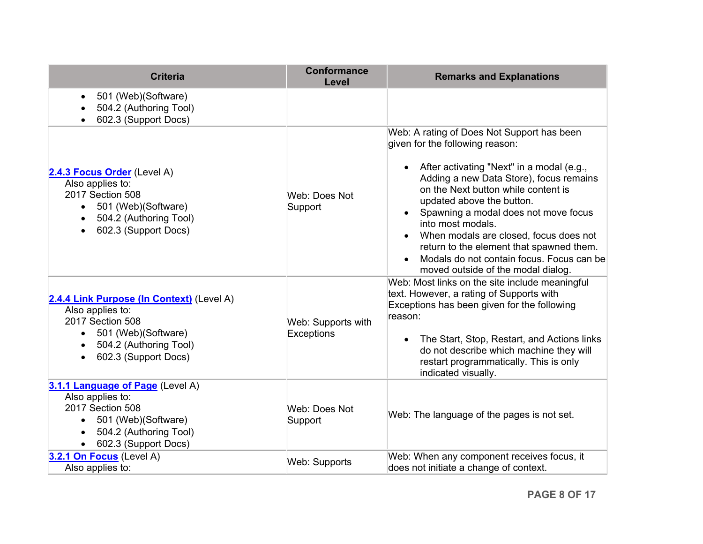| <b>Criteria</b>                                                                                                                                                        | <b>Conformance</b><br>Level      | <b>Remarks and Explanations</b>                                                                                                                                                                                                                                                                                                                                                                                                                                                              |
|------------------------------------------------------------------------------------------------------------------------------------------------------------------------|----------------------------------|----------------------------------------------------------------------------------------------------------------------------------------------------------------------------------------------------------------------------------------------------------------------------------------------------------------------------------------------------------------------------------------------------------------------------------------------------------------------------------------------|
| 501 (Web)(Software)<br>$\bullet$<br>504.2 (Authoring Tool)<br>602.3 (Support Docs)                                                                                     |                                  |                                                                                                                                                                                                                                                                                                                                                                                                                                                                                              |
| 2.4.3 Focus Order (Level A)<br>Also applies to:<br>2017 Section 508<br>501 (Web)(Software)<br>$\bullet$<br>504.2 (Authoring Tool)<br>$\bullet$<br>602.3 (Support Docs) | Web: Does Not<br>Support         | Web: A rating of Does Not Support has been<br>given for the following reason:<br>After activating "Next" in a modal (e.g.,<br>Adding a new Data Store), focus remains<br>on the Next button while content is<br>updated above the button.<br>Spawning a modal does not move focus<br>into most modals.<br>When modals are closed, focus does not<br>return to the element that spawned them.<br>Modals do not contain focus. Focus can be<br>$\bullet$<br>moved outside of the modal dialog. |
| 2.4.4 Link Purpose (In Context) (Level A)<br>Also applies to:<br>2017 Section 508<br>501 (Web)(Software)<br>504.2 (Authoring Tool)<br>602.3 (Support Docs)             | Web: Supports with<br>Exceptions | Web: Most links on the site include meaningful<br>text. However, a rating of Supports with<br>Exceptions has been given for the following<br>reason:<br>The Start, Stop, Restart, and Actions links<br>do not describe which machine they will<br>restart programmatically. This is only<br>indicated visually.                                                                                                                                                                              |
| 3.1.1 Language of Page (Level A)<br>Also applies to:<br>2017 Section 508<br>• 501 (Web) (Software)<br>504.2 (Authoring Tool)<br>602.3 (Support Docs)                   | Web: Does Not<br>Support         | Web: The language of the pages is not set.                                                                                                                                                                                                                                                                                                                                                                                                                                                   |
| 3.2.1 On Focus (Level A)<br>Also applies to:                                                                                                                           | Web: Supports                    | Web: When any component receives focus, it<br>does not initiate a change of context.                                                                                                                                                                                                                                                                                                                                                                                                         |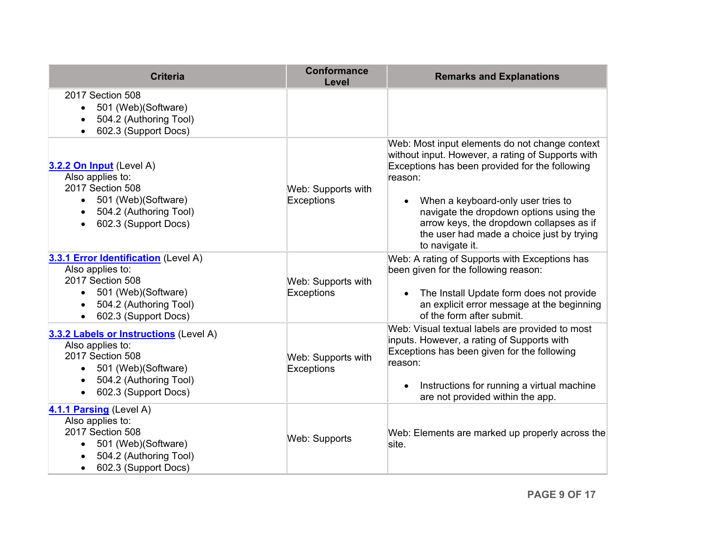<span id="page-8-0"></span>

| <b>Criteria</b>                                                                                                                                                                   | <b>Conformance</b><br>Level      | <b>Remarks and Explanations</b>                                                                                                                                                                                                                                                                                                                               |
|-----------------------------------------------------------------------------------------------------------------------------------------------------------------------------------|----------------------------------|---------------------------------------------------------------------------------------------------------------------------------------------------------------------------------------------------------------------------------------------------------------------------------------------------------------------------------------------------------------|
| 2017 Section 508<br>501 (Web)(Software)<br>504.2 (Authoring Tool)<br>602.3 (Support Docs)                                                                                         |                                  |                                                                                                                                                                                                                                                                                                                                                               |
| 3.2.2 On Input (Level A)<br>Also applies to:<br>2017 Section 508<br>• 501 (Web) (Software)<br>504.2 (Authoring Tool)<br>602.3 (Support Docs)                                      | Web: Supports with<br>Exceptions | Web: Most input elements do not change context<br>without input. However, a rating of Supports with<br>Exceptions has been provided for the following<br>reason:<br>When a keyboard-only user tries to<br>navigate the dropdown options using the<br>arrow keys, the dropdown collapses as if<br>the user had made a choice just by trying<br>to navigate it. |
| 3.3.1 Error Identification (Level A)<br>Also applies to:<br>2017 Section 508<br>• 501 (Web) (Software)<br>504.2 (Authoring Tool)<br>$\bullet$<br>602.3 (Support Docs)             | Web: Supports with<br>Exceptions | Web: A rating of Supports with Exceptions has<br>been given for the following reason:<br>The Install Update form does not provide<br>an explicit error message at the beginning<br>of the form after submit.                                                                                                                                                  |
| 3.3.2 Labels or Instructions (Level A)<br>Also applies to:<br>2017 Section 508<br>501 (Web)(Software)<br>$\bullet$<br>504.2 (Authoring Tool)<br>$\bullet$<br>602.3 (Support Docs) | Web: Supports with<br>Exceptions | Web: Visual textual labels are provided to most<br>inputs. However, a rating of Supports with<br>Exceptions has been given for the following<br>reason:<br>Instructions for running a virtual machine<br>are not provided within the app.                                                                                                                     |
| 4.1.1 Parsing (Level A)<br>Also applies to:<br>2017 Section 508<br>501 (Web) (Software)<br>$\bullet$<br>504.2 (Authoring Tool)<br>602.3 (Support Docs)                            | <b>Web: Supports</b>             | Web: Elements are marked up properly across the<br>site.                                                                                                                                                                                                                                                                                                      |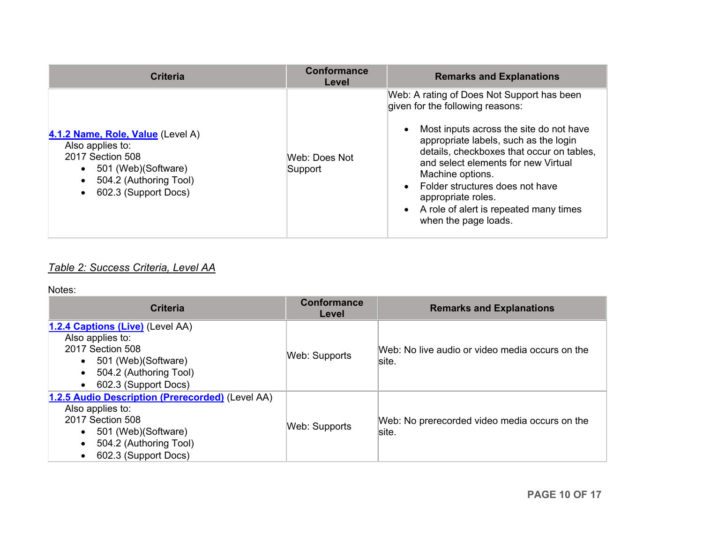<span id="page-9-0"></span>

| Web: A rating of Does Not Support has been<br>given for the following reasons:<br>Most inputs across the site do not have<br>$\bullet$<br>4.1.2 Name, Role, Value (Level A)                                                                                                                                                                                | <b>Criteria</b> | <b>Conformance</b><br>Level | <b>Remarks and Explanations</b>                                                    |
|------------------------------------------------------------------------------------------------------------------------------------------------------------------------------------------------------------------------------------------------------------------------------------------------------------------------------------------------------------|-----------------|-----------------------------|------------------------------------------------------------------------------------|
| Also applies to:<br>2017 Section 508<br>Web: Does Not<br>and select elements for new Virtual<br>501 (Web) (Software)<br>Support<br>$\bullet$<br>Machine options.<br>504.2 (Authoring Tool)<br>Folder structures does not have<br>602.3 (Support Docs)<br>appropriate roles.<br>A role of alert is repeated many times<br>$\bullet$<br>when the page loads. |                 |                             | appropriate labels, such as the login<br>details, checkboxes that occur on tables, |

### *Table 2: Success Criteria, Level AA*

| <b>Criteria</b>                                                                                                                                                    | <b>Conformance</b><br>Level | <b>Remarks and Explanations</b>                          |
|--------------------------------------------------------------------------------------------------------------------------------------------------------------------|-----------------------------|----------------------------------------------------------|
| 1.2.4 Captions (Live) (Level AA)<br>Also applies to:<br>2017 Section 508<br>501 (Web) (Software)<br>504.2 (Authoring Tool)<br>602.3 (Support Docs)                 | Web: Supports               | Web: No live audio or video media occurs on the<br>site. |
| 1.2.5 Audio Description (Prerecorded) (Level AA)<br>Also applies to:<br>2017 Section 508<br>501 (Web) (Software)<br>504.2 (Authoring Tool)<br>602.3 (Support Docs) | Web: Supports               | Web: No prerecorded video media occurs on the<br>site.   |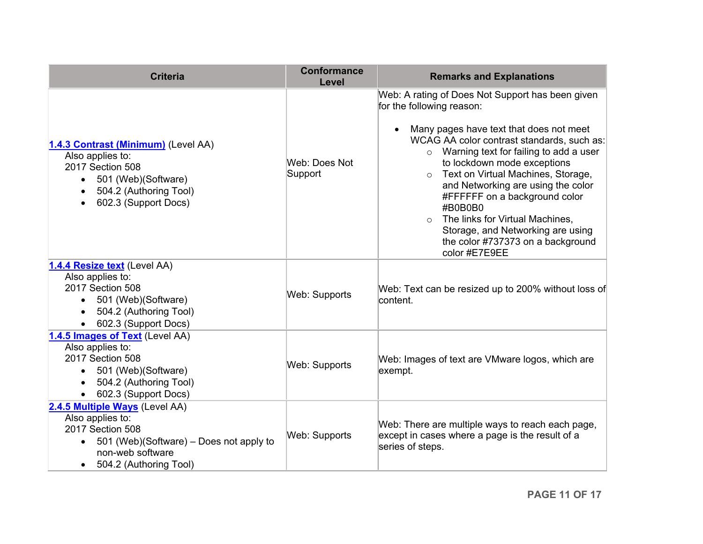<span id="page-10-0"></span>

| <b>Criteria</b>                                                                                                                                                                | <b>Conformance</b><br>Level | <b>Remarks and Explanations</b>                                                                                                                                                                                                                                                                                                                                                                                                                                                                                                         |
|--------------------------------------------------------------------------------------------------------------------------------------------------------------------------------|-----------------------------|-----------------------------------------------------------------------------------------------------------------------------------------------------------------------------------------------------------------------------------------------------------------------------------------------------------------------------------------------------------------------------------------------------------------------------------------------------------------------------------------------------------------------------------------|
| 1.4.3 Contrast (Minimum) (Level AA)<br>Also applies to:<br>2017 Section 508<br>501 (Web)(Software)<br>$\bullet$<br>504.2 (Authoring Tool)<br>$\bullet$<br>602.3 (Support Docs) | Web: Does Not<br>Support    | Web: A rating of Does Not Support has been given<br>for the following reason:<br>Many pages have text that does not meet<br>$\bullet$<br>WCAG AA color contrast standards, such as:<br>Warning text for failing to add a user<br>$\circ$<br>to lockdown mode exceptions<br>o Text on Virtual Machines, Storage,<br>and Networking are using the color<br>#FFFFFF on a background color<br>#B0B0B0<br>$\circ$ The links for Virtual Machines,<br>Storage, and Networking are using<br>the color #737373 on a background<br>color #E7E9EE |
| 1.4.4 Resize text (Level AA)<br>Also applies to:<br>2017 Section 508<br>• 501 (Web)(Software)<br>504.2 (Authoring Tool)<br>602.3 (Support Docs)                                | <b>Web: Supports</b>        | Web: Text can be resized up to 200% without loss of<br>content.                                                                                                                                                                                                                                                                                                                                                                                                                                                                         |
| 1.4.5 Images of Text (Level AA)<br>Also applies to:<br>2017 Section 508<br>• 501 (Web)(Software)<br>504.2 (Authoring Tool)<br>602.3 (Support Docs)                             | <b>Web: Supports</b>        | Web: Images of text are VMware logos, which are<br>exempt.                                                                                                                                                                                                                                                                                                                                                                                                                                                                              |
| 2.4.5 Multiple Ways (Level AA)<br>Also applies to:<br>2017 Section 508<br>501 (Web)(Software) - Does not apply to<br>$\bullet$<br>non-web software<br>504.2 (Authoring Tool)   | <b>Web: Supports</b>        | Web: There are multiple ways to reach each page,<br>except in cases where a page is the result of a<br>series of steps.                                                                                                                                                                                                                                                                                                                                                                                                                 |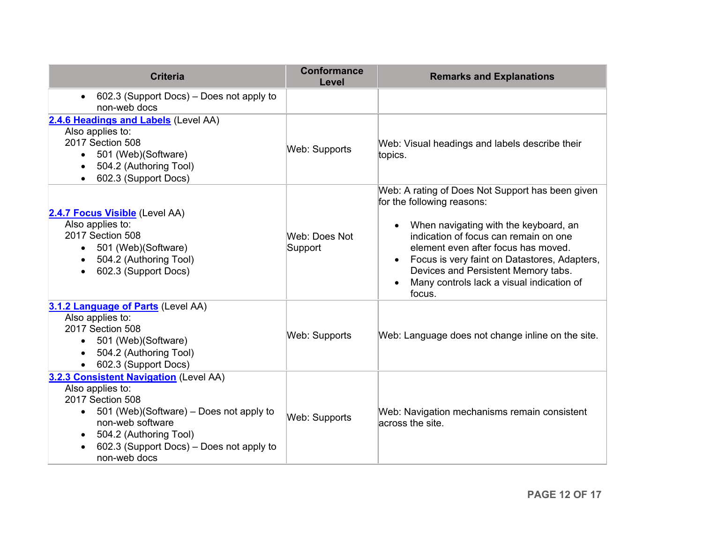<span id="page-11-0"></span>

| <b>Criteria</b>                                                                                                                                                                                                                                  | <b>Conformance</b><br><b>Level</b> | <b>Remarks and Explanations</b>                                                                                                                                                                                                                                                                                                                                    |
|--------------------------------------------------------------------------------------------------------------------------------------------------------------------------------------------------------------------------------------------------|------------------------------------|--------------------------------------------------------------------------------------------------------------------------------------------------------------------------------------------------------------------------------------------------------------------------------------------------------------------------------------------------------------------|
| 602.3 (Support Docs) - Does not apply to<br>$\bullet$<br>non-web docs                                                                                                                                                                            |                                    |                                                                                                                                                                                                                                                                                                                                                                    |
| 2.4.6 Headings and Labels (Level AA)<br>Also applies to:<br>2017 Section 508<br>501 (Web)(Software)<br>504.2 (Authoring Tool)<br>602.3 (Support Docs)                                                                                            | <b>Web: Supports</b>               | Web: Visual headings and labels describe their<br>topics.                                                                                                                                                                                                                                                                                                          |
| 2.4.7 Focus Visible (Level AA)<br>Also applies to:<br>2017 Section 508<br>501 (Web)(Software)<br>$\bullet$<br>504.2 (Authoring Tool)<br>602.3 (Support Docs)                                                                                     | Web: Does Not<br>Support           | Web: A rating of Does Not Support has been given<br>for the following reasons:<br>When navigating with the keyboard, an<br>indication of focus can remain on one<br>element even after focus has moved.<br>Focus is very faint on Datastores, Adapters,<br>$\bullet$<br>Devices and Persistent Memory tabs.<br>Many controls lack a visual indication of<br>focus. |
| 3.1.2 Language of Parts (Level AA)<br>Also applies to:<br>2017 Section 508<br>501 (Web)(Software)<br>$\bullet$<br>504.2 (Authoring Tool)<br>602.3 (Support Docs)                                                                                 | Web: Supports                      | Web: Language does not change inline on the site.                                                                                                                                                                                                                                                                                                                  |
| 3.2.3 Consistent Navigation (Level AA)<br>Also applies to:<br>2017 Section 508<br>501 (Web)(Software) – Does not apply to<br>non-web software<br>504.2 (Authoring Tool)<br>$\bullet$<br>602.3 (Support Docs) - Does not apply to<br>non-web docs | Web: Supports                      | Web: Navigation mechanisms remain consistent<br>across the site.                                                                                                                                                                                                                                                                                                   |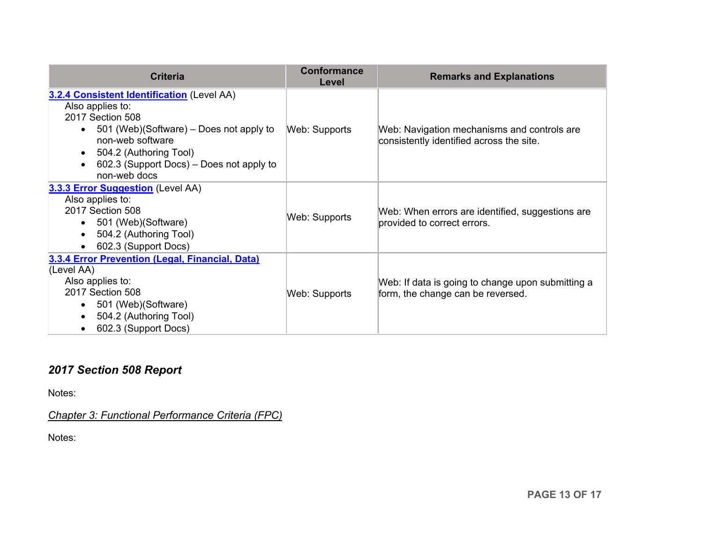| <b>Criteria</b>                                                                                                                                                                                                                                                   | <b>Conformance</b><br>Level | <b>Remarks and Explanations</b>                                                         |
|-------------------------------------------------------------------------------------------------------------------------------------------------------------------------------------------------------------------------------------------------------------------|-----------------------------|-----------------------------------------------------------------------------------------|
| 3.2.4 Consistent Identification (Level AA)<br>Also applies to:<br>2017 Section 508<br>501 (Web)(Software) – Does not apply to<br>$\bullet$<br>non-web software<br>504.2 (Authoring Tool)<br>602.3 (Support Docs) – Does not apply to<br>$\bullet$<br>non-web docs | Web: Supports               | Web: Navigation mechanisms and controls are<br>consistently identified across the site. |
| 3.3.3 Error Suggestion (Level AA)<br>Also applies to:<br>2017 Section 508<br>501 (Web) (Software)<br>$\bullet$<br>504.2 (Authoring Tool)<br>602.3 (Support Docs)                                                                                                  | Web: Supports               | Web: When errors are identified, suggestions are<br>provided to correct errors.         |
| 3.3.4 Error Prevention (Legal, Financial, Data)<br>(Level AA)<br>Also applies to:<br>2017 Section 508<br>501 (Web) (Software)<br>$\bullet$<br>504.2 (Authoring Tool)<br>602.3 (Support Docs)                                                                      | Web: Supports               | Web: If data is going to change upon submitting a<br>form, the change can be reversed.  |

# *2017 Section 508 Report*

Notes:

*Chapter 3: Functional Performance Criteria (FPC)*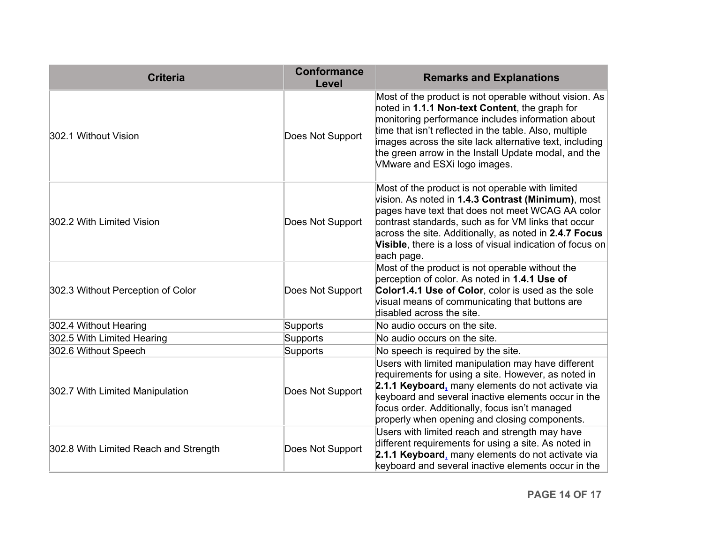| <b>Criteria</b>                       | <b>Conformance</b><br>Level | <b>Remarks and Explanations</b>                                                                                                                                                                                                                                                                                                                                            |
|---------------------------------------|-----------------------------|----------------------------------------------------------------------------------------------------------------------------------------------------------------------------------------------------------------------------------------------------------------------------------------------------------------------------------------------------------------------------|
| 302.1 Without Vision                  | Does Not Support            | Most of the product is not operable without vision. As<br>noted in 1.1.1 Non-text Content, the graph for<br>monitoring performance includes information about<br>time that isn't reflected in the table. Also, multiple<br>images across the site lack alternative text, including<br>the green arrow in the Install Update modal, and the<br>VMware and ESXi logo images. |
| 302.2 With Limited Vision             | Does Not Support            | Most of the product is not operable with limited<br>vision. As noted in 1.4.3 Contrast (Minimum), most<br>pages have text that does not meet WCAG AA color<br>contrast standards, such as for VM links that occur<br>across the site. Additionally, as noted in 2.4.7 Focus<br>Visible, there is a loss of visual indication of focus on<br>each page.                     |
| 302.3 Without Perception of Color     | Does Not Support            | Most of the product is not operable without the<br>perception of color. As noted in 1.4.1 Use of<br>Color1.4.1 Use of Color, color is used as the sole<br>visual means of communicating that buttons are<br>disabled across the site.                                                                                                                                      |
| 302.4 Without Hearing                 | Supports                    | No audio occurs on the site.                                                                                                                                                                                                                                                                                                                                               |
| 302.5 With Limited Hearing            | Supports                    | No audio occurs on the site.                                                                                                                                                                                                                                                                                                                                               |
| 302.6 Without Speech                  | Supports                    | No speech is required by the site.                                                                                                                                                                                                                                                                                                                                         |
| 302.7 With Limited Manipulation       | Does Not Support            | Users with limited manipulation may have different<br>requirements for using a site. However, as noted in<br>2.1.1 Keyboard, many elements do not activate via<br>keyboard and several inactive elements occur in the<br>focus order. Additionally, focus isn't managed<br>properly when opening and closing components.                                                   |
| 302.8 With Limited Reach and Strength | Does Not Support            | Users with limited reach and strength may have<br>different requirements for using a site. As noted in<br>2.1.1 Keyboard, many elements do not activate via<br>keyboard and several inactive elements occur in the                                                                                                                                                         |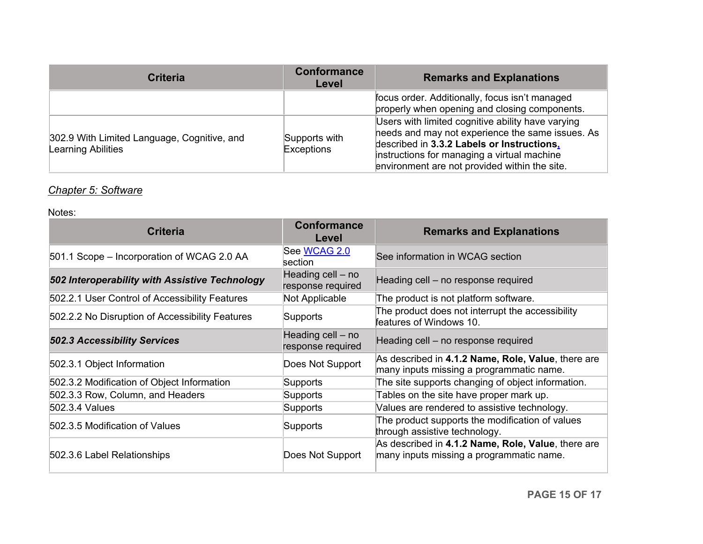| <b>Criteria</b>                                                          | <b>Conformance</b><br>Level | <b>Remarks and Explanations</b>                                                                                                                                                                                                                     |
|--------------------------------------------------------------------------|-----------------------------|-----------------------------------------------------------------------------------------------------------------------------------------------------------------------------------------------------------------------------------------------------|
|                                                                          |                             | focus order. Additionally, focus isn't managed<br>properly when opening and closing components.                                                                                                                                                     |
| 302.9 With Limited Language, Cognitive, and<br><b>Learning Abilities</b> | Supports with<br>Exceptions | Users with limited cognitive ability have varying<br>heeds and may not experience the same issues. As<br>described in 3.3.2 Labels or Instructions,<br>instructions for managing a virtual machine<br>environment are not provided within the site. |

### *Chapter 5: Software*

| <b>Criteria</b>                                 | <b>Conformance</b><br>Level            | <b>Remarks and Explanations</b>                                                                |
|-------------------------------------------------|----------------------------------------|------------------------------------------------------------------------------------------------|
| 501.1 Scope – Incorporation of WCAG 2.0 AA      | See WCAG 2.0<br>section                | See information in WCAG section                                                                |
| 502 Interoperability with Assistive Technology  | Heading cell – no<br>response required | Heading cell – no response required                                                            |
| 502.2.1 User Control of Accessibility Features  | Not Applicable                         | The product is not platform software.                                                          |
| 502.2.2 No Disruption of Accessibility Features | Supports                               | The product does not interrupt the accessibility<br>features of Windows 10.                    |
| <b>502.3 Accessibility Services</b>             | Heading cell – no<br>response required | Heading cell - no response required                                                            |
| 502.3.1 Object Information                      | Does Not Support                       | As described in 4.1.2 Name, Role, Value, there are<br>many inputs missing a programmatic name. |
| 502.3.2 Modification of Object Information      | Supports                               | The site supports changing of object information.                                              |
| 502.3.3 Row, Column, and Headers                | Supports                               | Tables on the site have proper mark up.                                                        |
| 502.3.4 Values                                  | Supports                               | Values are rendered to assistive technology.                                                   |
| 502.3.5 Modification of Values                  | Supports                               | The product supports the modification of values<br>through assistive technology.               |
| 502.3.6 Label Relationships                     | Does Not Support                       | As described in 4.1.2 Name, Role, Value, there are<br>many inputs missing a programmatic name. |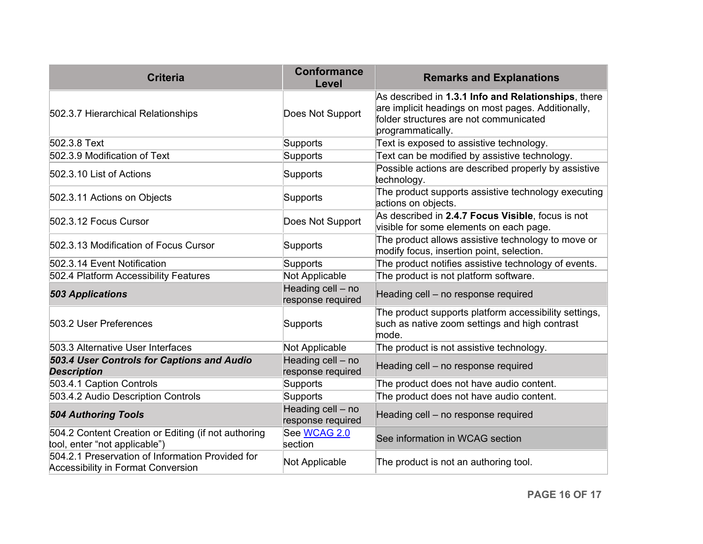| <b>Criteria</b>                                                                               | <b>Conformance</b><br>Level            | <b>Remarks and Explanations</b>                                                                                                                                          |
|-----------------------------------------------------------------------------------------------|----------------------------------------|--------------------------------------------------------------------------------------------------------------------------------------------------------------------------|
| 502.3.7 Hierarchical Relationships                                                            | Does Not Support                       | As described in 1.3.1 Info and Relationships, there<br>are implicit headings on most pages. Additionally,<br>folder structures are not communicated<br>programmatically. |
| 502.3.8 Text                                                                                  | Supports                               | Text is exposed to assistive technology.                                                                                                                                 |
| 502.3.9 Modification of Text                                                                  | Supports                               | Text can be modified by assistive technology.                                                                                                                            |
| 502.3.10 List of Actions                                                                      | Supports                               | Possible actions are described properly by assistive<br>technology.                                                                                                      |
| 502.3.11 Actions on Objects                                                                   | Supports                               | The product supports assistive technology executing<br>actions on objects.                                                                                               |
| 502.3.12 Focus Cursor                                                                         | Does Not Support                       | As described in 2.4.7 Focus Visible, focus is not<br>visible for some elements on each page.                                                                             |
| 502.3.13 Modification of Focus Cursor                                                         | Supports                               | The product allows assistive technology to move or<br>modify focus, insertion point, selection.                                                                          |
| 502.3.14 Event Notification                                                                   | Supports                               | The product notifies assistive technology of events.                                                                                                                     |
| 502.4 Platform Accessibility Features                                                         | Not Applicable                         | The product is not platform software.                                                                                                                                    |
| <b>503 Applications</b>                                                                       | Heading cell - no<br>response required | Heading cell - no response required                                                                                                                                      |
| 503.2 User Preferences                                                                        | Supports                               | The product supports platform accessibility settings,<br>such as native zoom settings and high contrast<br>mode.                                                         |
| 503.3 Alternative User Interfaces                                                             | Not Applicable                         | The product is not assistive technology.                                                                                                                                 |
| 503.4 User Controls for Captions and Audio<br><b>Description</b>                              | Heading cell - no<br>response required | Heading cell - no response required                                                                                                                                      |
| 503.4.1 Caption Controls                                                                      | Supports                               | The product does not have audio content.                                                                                                                                 |
| 503.4.2 Audio Description Controls                                                            | Supports                               | The product does not have audio content.                                                                                                                                 |
| <b>504 Authoring Tools</b>                                                                    | Heading cell - no<br>response required | Heading cell - no response required                                                                                                                                      |
| 504.2 Content Creation or Editing (if not authoring<br>tool, enter "not applicable")          | See WCAG 2.0<br>section                | See information in WCAG section                                                                                                                                          |
| 504.2.1 Preservation of Information Provided for<br><b>Accessibility in Format Conversion</b> | Not Applicable                         | The product is not an authoring tool.                                                                                                                                    |